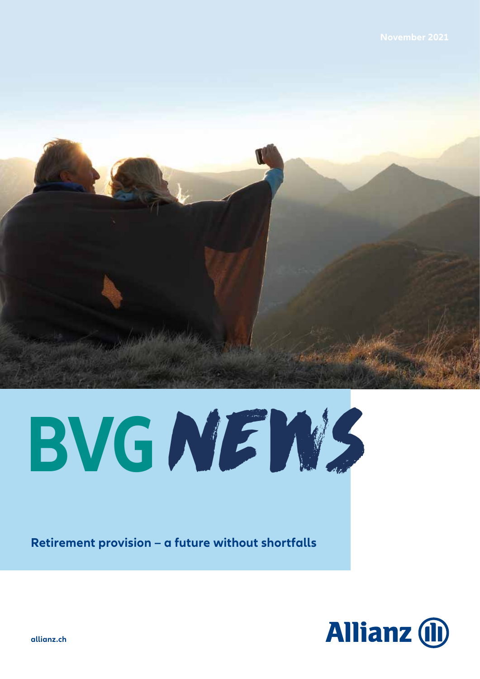

**BVGNEWS** 

**Retirement provision – a future without shortfalls**



**allianz.ch**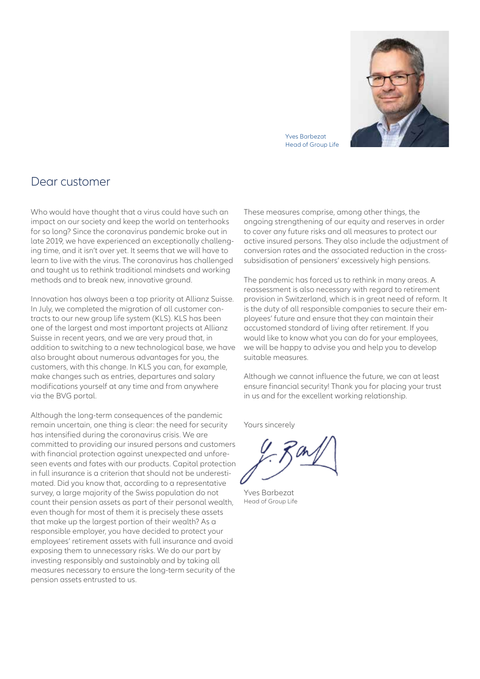

Yves Barbezat Head of Group Life

# Dear customer

Who would have thought that a virus could have such an impact on our society and keep the world on tenterhooks for so long? Since the coronavirus pandemic broke out in late 2019, we have experienced an exceptionally challenging time, and it isn't over yet. It seems that we will have to learn to live with the virus. The coronavirus has challenged and taught us to rethink traditional mindsets and working methods and to break new, innovative ground.

Innovation has always been a top priority at Allianz Suisse. In July, we completed the migration of all customer contracts to our new group life system (KLS). KLS has been one of the largest and most important projects at Allianz Suisse in recent years, and we are very proud that, in addition to switching to a new technological base, we have also brought about numerous advantages for you, the customers, with this change. In KLS you can, for example, make changes such as entries, departures and salary modifications yourself at any time and from anywhere via the BVG portal.

Although the long-term consequences of the pandemic remain uncertain, one thing is clear: the need for security has intensified during the coronavirus crisis. We are committed to providing our insured persons and customers with financial protection against unexpected and unforeseen events and fates with our products. Capital protection in full insurance is a criterion that should not be underestimated. Did you know that, according to a representative survey, a large majority of the Swiss population do not count their pension assets as part of their personal wealth, even though for most of them it is precisely these assets that make up the largest portion of their wealth? As a responsible employer, you have decided to protect your employees' retirement assets with full insurance and avoid exposing them to unnecessary risks. We do our part by investing responsibly and sustainably and by taking all measures necessary to ensure the long-term security of the pension assets entrusted to us.

These measures comprise, among other things, the ongoing strengthening of our equity and reserves in order to cover any future risks and all measures to protect our active insured persons. They also include the adjustment of conversion rates and the associated reduction in the crosssubsidisation of pensioners' excessively high pensions.

The pandemic has forced us to rethink in many areas. A reassessment is also necessary with regard to retirement provision in Switzerland, which is in great need of reform. It is the duty of all responsible companies to secure their employees' future and ensure that they can maintain their accustomed standard of living after retirement. If you would like to know what you can do for your employees, we will be happy to advise you and help you to develop suitable measures.

Although we cannot influence the future, we can at least ensure financial security! Thank you for placing your trust in us and for the excellent working relationship.

Yours sincerely

Yves Barbezat Head of Group Life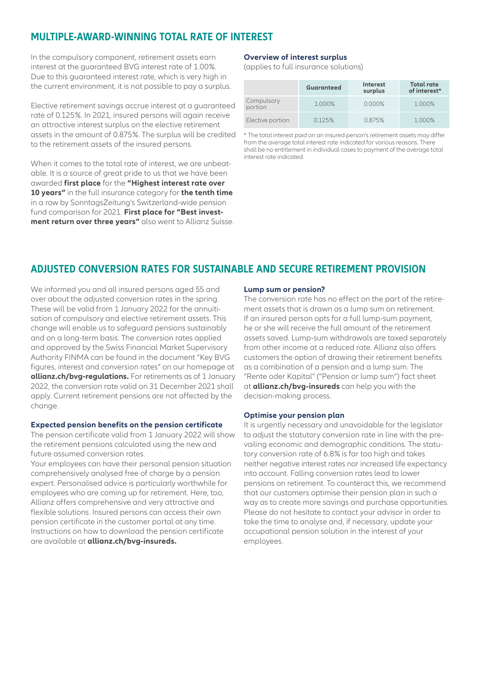## **MULTIPLE-AWARD-WINNING TOTAL RATE OF INTEREST**

In the compulsory component, retirement assets earn interest at the guaranteed BVG interest rate of 1.00%. Due to this guaranteed interest rate, which is very high in the current environment, it is not possible to pay a surplus.

Elective retirement savings accrue interest at a guaranteed rate of 0.125%. In 2021, insured persons will again receive an attractive interest surplus on the elective retirement assets in the amount of 0.875%. The surplus will be credited to the retirement assets of the insured persons.

When it comes to the total rate of interest, we are unbeatable. It is a source of great pride to us that we have been awarded **first place** for the **"Highest interest rate over 10 years"** in the full insurance category for **the tenth time** in a row by SonntagsZeitung's Switzerland-wide pension fund comparison for 2021. **First place for "Best investment return over three years"** also went to Allianz Suisse.

### **Overview of interest surplus**

(applies to full insurance solutions)

|                       | <b>Guaranteed</b> | <b>Interest</b><br>surplus | <b>Total rate</b><br>of interest* |
|-----------------------|-------------------|----------------------------|-----------------------------------|
| Compulsory<br>portion | 1.000%            | $0.000\%$                  | 1.000%                            |
| Elective portion      | 0.125%            | 0.875%                     | 1.000%                            |

\* The total interest paid on an insured person's retirement assets may differ from the average total interest rate indicated for various reasons. There shall be no entitlement in individual cases to payment of the average total interest rate indicated.

## **ADJUSTED CONVERSION RATES FOR SUSTAINABLE AND SECURE RETIREMENT PROVISION**

We informed you and all insured persons aged 55 and over about the adjusted conversion rates in the spring. These will be valid from 1 January 2022 for the annuitisation of compulsory and elective retirement assets. This change will enable us to safeguard pensions sustainably and on a long-term basis. The conversion rates applied and approved by the Swiss Financial Market Supervisory Authority FINMA can be found in the document "Key BVG figures, interest and conversion rates" on our homepage at **[allianz.ch/bvg-regulations.](https://www.allianz.ch/bvg-regulations)** For retirements as of 1 January 2022, the conversion rate valid on 31 December 2021 shall apply. Current retirement pensions are not affected by the change.

#### **Expected pension benefits on the pension certificate**

The pension certificate valid from 1 January 2022 will show the retirement pensions calculated using the new and future assumed conversion rates.

Your employees can have their personal pension situation comprehensively analysed free of charge by a pension expert. Personalised advice is particularly worthwhile for employees who are coming up for retirement. Here, too, Allianz offers comprehensive and very attractive and flexible solutions. Insured persons can access their own pension certificate in the customer portal at any time. Instructions on how to download the pension certificate are available at **[allianz.ch/bvg-insureds.](https://www.allianz.ch/bvg-insureds)**

### **Lump sum or pension?**

The conversion rate has no effect on the part of the retirement assets that is drawn as a lump sum on retirement. If an insured person opts for a full lump-sum payment, he or she will receive the full amount of the retirement assets saved. Lump-sum withdrawals are taxed separately from other income at a reduced rate. Allianz also offers customers the option of drawing their retirement benefits as a combination of a pension and a lump sum. The "Rente oder Kapital" ("Pension or lump sum") fact sheet at **[allianz.ch/bvg-insureds](https://www.allianz.ch/bvg-insureds)** can help you with the decision-making process.

#### **Optimise your pension plan**

It is urgently necessary and unavoidable for the legislator to adjust the statutory conversion rate in line with the prevailing economic and demographic conditions. The statutory conversion rate of 6.8% is far too high and takes neither negative interest rates nor increased life expectancy into account. Falling conversion rates lead to lower pensions on retirement. To counteract this, we recommend that our customers optimise their pension plan in such a way as to create more savings and purchase opportunities. Please do not hesitate to contact your advisor in order to take the time to analyse and, if necessary, update your occupational pension solution in the interest of your employees.